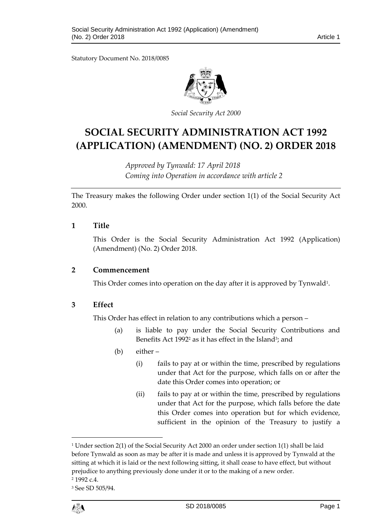Statutory Document No. 2018/0085



*Social Security Act 2000*

# **SOCIAL SECURITY ADMINISTRATION ACT 1992 (APPLICATION) (AMENDMENT) (NO. 2) ORDER 2018**

*Approved by Tynwald: 17 April 2018 Coming into Operation in accordance with article 2*

The Treasury makes the following Order under section 1(1) of the Social Security Act 2000.

#### **1 Title**

This Order is the Social Security Administration Act 1992 (Application) (Amendment) (No. 2) Order 2018.

#### **2 Commencement**

This Order comes into operation on the day after it is approved by Tynwald<sup>1</sup>.

### **3 Effect**

This Order has effect in relation to any contributions which a person –

- (a) is liable to pay under the Social Security Contributions and Benefits Act 1992<sup>2</sup> as it has effect in the Island<sup>3</sup>; and
- (b) either
	- (i) fails to pay at or within the time, prescribed by regulations under that Act for the purpose, which falls on or after the date this Order comes into operation; or
	- (ii) fails to pay at or within the time, prescribed by regulations under that Act for the purpose, which falls before the date this Order comes into operation but for which evidence, sufficient in the opinion of the Treasury to justify a

$$
\ell_{\text{S}}^{\text{in}}
$$

 $\overline{a}$ 

<sup>&</sup>lt;sup>1</sup> Under section 2(1) of the Social Security Act 2000 an order under section 1(1) shall be laid before Tynwald as soon as may be after it is made and unless it is approved by Tynwald at the sitting at which it is laid or the next following sitting, it shall cease to have effect, but without prejudice to anything previously done under it or to the making of a new order.

<sup>2</sup> 1992 c.4.

<sup>3</sup> See SD 505/94.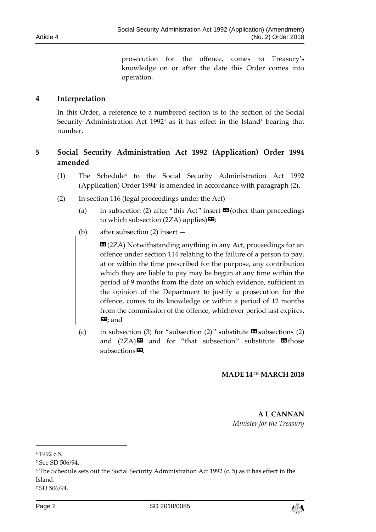prosecution for the offence, comes to Treasury's knowledge on or after the date this Order comes into operation.

### **4 Interpretation**

In this Order, a reference to a numbered section is to the section of the Social Security Administration Act 1992<sup>4</sup> as it has effect in the Island<sup>5</sup> bearing that number.

# **5 Social Security Administration Act 1992 (Application) Order 1994 amended**

- (1) The Schedule<sup>6</sup> to the Social Security Administration Act 1992 (Application) Order 1994<sup>7</sup> is amended in accordance with paragraph (2).
- (2) In section 116 (legal proceedings under the Act)  $-$ 
	- (a) in subsection (2) after "this Act" insert  $\mathbf{\mathfrak{A}}$  (other than proceedings to which subsection (2ZA) applies) $\mathbf{E}$ ;
	- (b) after subsection (2) insert —

**EG**(2ZA) Notwithstanding anything in any Act, proceedings for an offence under section 114 relating to the failure of a person to pay, at or within the time prescribed for the purpose, any contribution which they are liable to pay may be begun at any time within the period of 9 months from the date on which evidence, sufficient in the opinion of the Department to justify a prosecution for the offence, comes to its knowledge or within a period of 12 months from the commission of the offence, whichever period last expires.  $\mathbf{E}$ ; and

(c) in subsection (3) for "subsection (2)" substitute  $\mathbf{\mathfrak{S}}$  subsections (2) and  $(2ZA)\mathbf{E}$  and for "that subsection" substitute  $\mathbf{E}$  those subsections<sup>9</sup>.

#### **MADE 14TH MARCH 2018**

**A L CANNAN** *Minister for the Treasury*

1



<sup>4</sup> 1992 c.5.

<sup>5</sup> See SD 506/94.

<sup>6</sup> The Schedule sets out the Social Security Administration Act 1992 (c. 5) as it has effect in the Island.

<sup>7</sup> SD 506/94.